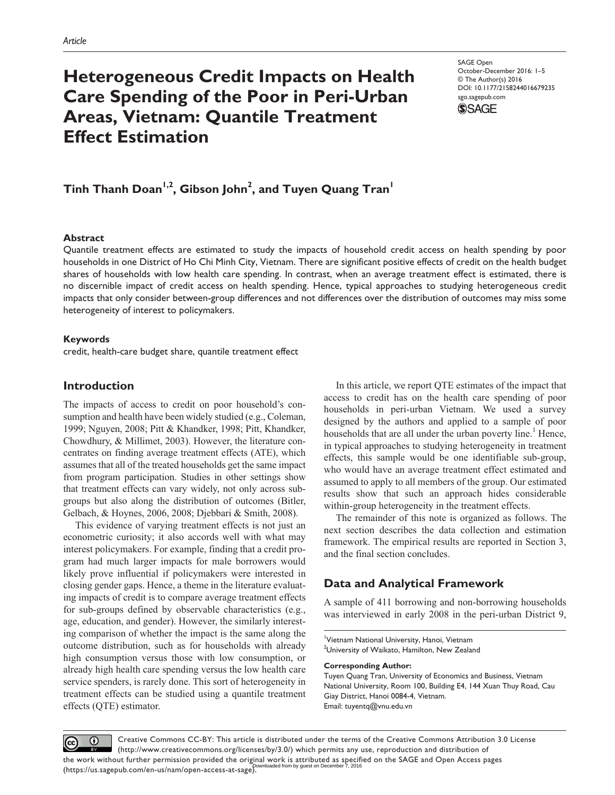# **Heterogeneous Credit Impacts on Health Care Spending of the Poor in Peri-Urban Areas, Vietnam: Quantile Treatment Effect Estimation**

SAGE Open October-December 2016: 1–5 © The Author(s) 2016 DOI: 10.1177/2158244016679235 sgo.sagepub.com



## $\mathsf{Tinh}$  Thanh Doan<sup>1,2</sup>, Gibson John<sup>2</sup>, and Tuyen Quang Tran<sup>1</sup>

## **Abstract**

Quantile treatment effects are estimated to study the impacts of household credit access on health spending by poor households in one District of Ho Chi Minh City, Vietnam. There are significant positive effects of credit on the health budget shares of households with low health care spending. In contrast, when an average treatment effect is estimated, there is no discernible impact of credit access on health spending. Hence, typical approaches to studying heterogeneous credit impacts that only consider between-group differences and not differences over the distribution of outcomes may miss some heterogeneity of interest to policymakers.

## **Keywords**

credit, health-care budget share, quantile treatment effect

## **Introduction**

The impacts of access to credit on poor household's consumption and health have been widely studied (e.g., Coleman, 1999; Nguyen, 2008; Pitt & Khandker, 1998; Pitt, Khandker, Chowdhury, & Millimet, 2003). However, the literature concentrates on finding average treatment effects (ATE), which assumes that all of the treated households get the same impact from program participation. Studies in other settings show that treatment effects can vary widely, not only across subgroups but also along the distribution of outcomes (Bitler, Gelbach, & Hoynes, 2006, 2008; Djebbari & Smith, 2008).

This evidence of varying treatment effects is not just an econometric curiosity; it also accords well with what may interest policymakers. For example, finding that a credit program had much larger impacts for male borrowers would likely prove influential if policymakers were interested in closing gender gaps. Hence, a theme in the literature evaluating impacts of credit is to compare average treatment effects for sub-groups defined by observable characteristics (e.g., age, education, and gender). However, the similarly interesting comparison of whether the impact is the same along the outcome distribution, such as for households with already high consumption versus those with low consumption, or already high health care spending versus the low health care service spenders, is rarely done. This sort of heterogeneity in treatment effects can be studied using a quantile treatment effects (QTE) estimator.

In this article, we report QTE estimates of the impact that access to credit has on the health care spending of poor households in peri-urban Vietnam. We used a survey designed by the authors and applied to a sample of poor households that are all under the urban poverty line.<sup>1</sup> Hence, in typical approaches to studying heterogeneity in treatment effects, this sample would be one identifiable sub-group, who would have an average treatment effect estimated and assumed to apply to all members of the group. Our estimated results show that such an approach hides considerable within-group heterogeneity in the treatment effects.

The remainder of this note is organized as follows. The next section describes the data collection and estimation framework. The empirical results are reported in Section 3, and the final section concludes.

## **Data and Analytical Framework**

A sample of 411 borrowing and non-borrowing households was interviewed in early 2008 in the peri-urban District 9,

#### **Corresponding Author:**

Tuyen Quang Tran, University of Economics and Business, Vietnam National University, Room 100, Building E4, 144 Xuan Thuy Road, Cau Giay District, Hanoi 0084-4, Vietnam. Email: [tuyentq@vnu.edu.vn](mailto:tuyentq@vnu.edu.vn)

Creative Commons CC-BY: This article is distributed under the terms of the Creative Commons Attribution 3.0 License  $\odot$  $_{\rm (cc)}$ (http://www.creativecommons.org/licenses/by/3.0/) which permits any use, reproduction and distribution of the work without further permission provided the original work is attributed as specified on the SAGE and Open Access pages<br>(bownloaded from by guest on December 7, 2016 (https://us.sagepub.com/en-us/nam/open-access-at-sage).

<sup>&</sup>lt;sup>1</sup>Vietnam National University, Hanoi, Vietnam  $^2$ University of Waikato, Hamilton, New Zealand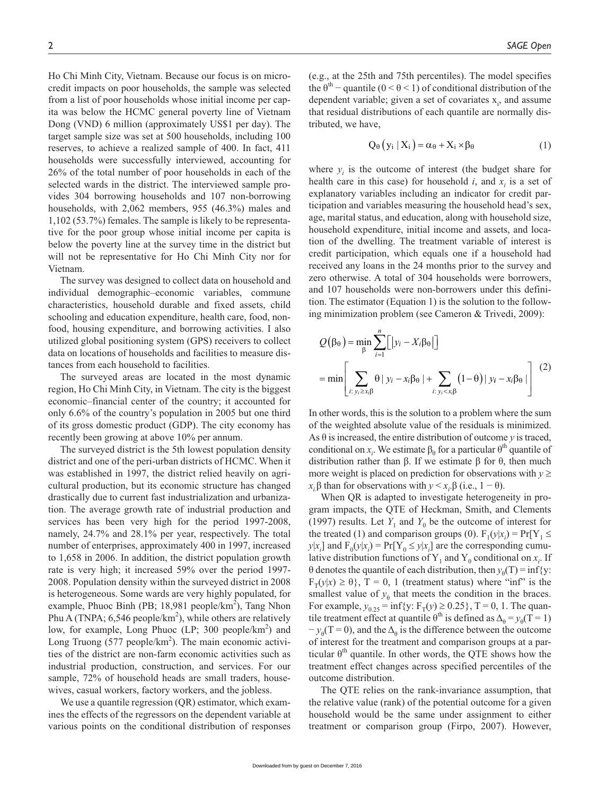Ho Chi Minh City, Vietnam. Because our focus is on microcredit impacts on poor households, the sample was selected from a list of poor households whose initial income per capita was below the HCMC general poverty line of Vietnam Dong (VND) 6 million (approximately US\$1 per day). The target sample size was set at 500 households, including 100 reserves, to achieve a realized sample of 400. In fact, 411 households were successfully interviewed, accounting for 26% of the total number of poor households in each of the selected wards in the district. The interviewed sample provides 304 borrowing households and 107 non-borrowing households, with 2,062 members, 955 (46.3%) males and 1,102 (53.7%) females. The sample is likely to be representative for the poor group whose initial income per capita is below the poverty line at the survey time in the district but will not be representative for Ho Chi Minh City nor for Vietnam.

The survey was designed to collect data on household and individual demographic–economic variables, commune characteristics, household durable and fixed assets, child schooling and education expenditure, health care, food, nonfood, housing expenditure, and borrowing activities. I also utilized global positioning system (GPS) receivers to collect data on locations of households and facilities to measure distances from each household to facilities.

The surveyed areas are located in the most dynamic region, Ho Chi Minh City, in Vietnam. The city is the biggest economic–financial center of the country; it accounted for only 6.6% of the country's population in 2005 but one third of its gross domestic product (GDP). The city economy has recently been growing at above 10% per annum.

The surveyed district is the 5th lowest population density district and one of the peri-urban districts of HCMC. When it was established in 1997, the district relied heavily on agricultural production, but its economic structure has changed drastically due to current fast industrialization and urbanization. The average growth rate of industrial production and services has been very high for the period 1997-2008, namely, 24.7% and 28.1% per year, respectively. The total number of enterprises, approximately 400 in 1997, increased to 1,658 in 2006. In addition, the district population growth rate is very high; it increased 59% over the period 1997- 2008. Population density within the surveyed district in 2008 is heterogeneous. Some wards are very highly populated, for example, Phuoc Binh (PB; 18,981 people/ $km^2$ ), Tang Nhon Phu A (TNPA; 6,546 people/ $km^2$ ), while others are relatively low, for example, Long Phuoc (LP; 300 people/ $km^2$ ) and Long Truong  $(577 \text{ people/km}^2)$ . The main economic activities of the district are non-farm economic activities such as industrial production, construction, and services. For our sample,  $72\%$  of household heads are small traders, housewives, casual workers, factory workers, and the jobless.

We use a quantile regression (QR) estimator, which examines the effects of the regressors on the dependent variable at various points on the conditional distribution of responses (e.g., at the 25th and 75th percentiles). The model specifies the  $\theta^{th}$  – quantile (0 <  $\theta$  < 1) of conditional distribution of the dependent variable; given a set of covariates  $x_i$ , and assume that residual distributions of each quantile are normally distributed, we have,

$$
Q_{\theta}\left(y_i \mid X_i\right) = \alpha_{\theta} + X_i \times \beta_{\theta} \tag{1}
$$

where  $y_i$  is the outcome of interest (the budget share for health care in this case) for household  $i$ , and  $x_i$  is a set of explanatory variables including an indicator for credit participation and variables measuring the household head's sex, age, marital status, and education, along with household size, household expenditure, initial income and assets, and location of the dwelling. The treatment variable of interest is credit participation, which equals one if a household had received any loans in the 24 months prior to the survey and zero otherwise. A total of 304 households were borrowers, and 107 households were non-borrowers under this definition. The estimator (Equation 1) is the solution to the following minimization problem (see Cameron & Trivedi, 2009):

$$
Q(\beta_{\theta}) = \min_{\beta} \sum_{i=1}^{n} [|y_i - X_i \beta_{\theta}|]
$$
  
= 
$$
\min \left[ \sum_{i: y_i \ge x_i \beta} \theta | y_i - x_i \beta_{\theta} | + \sum_{i: y_i < x_i \beta} (1 - \theta) | y_i - x_i \beta_{\theta} | \right] (2)
$$

In other words, this is the solution to a problem where the sum of the weighted absolute value of the residuals is minimized. As  $\theta$  is increased, the entire distribution of outcome *y* is traced, conditional on  $x_i$ . We estimate  $\beta_0$  for a particular  $\theta^{th}$  quantile of distribution rather than β. If we estimate β for θ, then much more weight is placed on prediction for observations with  $y \geq$  $x_i \beta$  than for observations with  $y \le x_i \beta$  (i.e., 1 – θ).

When QR is adapted to investigate heterogeneity in program impacts, the QTE of Heckman, Smith, and Clements (1997) results. Let  $Y_1$  and  $Y_0$  be the outcome of interest for the treated (1) and comparison groups (0).  $F_1(y|x_i) = Pr[Y_1 \leq$  $y|x_i]$  and  $F_0(y|x_i) = Pr[Y_0 \le y|x_i]$  are the corresponding cumulative distribution functions of  $Y_1$  and  $Y_0$  conditional on  $x_i$ . If θ denotes the quantile of each distribution, then  $y_θ(T) = inf{y$ :  $F_T(y|x) \ge \theta$ , T = 0, 1 (treatment status) where "inf" is the smallest value of  $y_{\theta}$  that meets the condition in the braces. For example,  $y_{0.25} = \inf\{y: F_T(y) \ge 0.25\}$ , T = 0, 1. The quantile treatment effect at quantile  $\theta^{th}$  is defined as  $\Delta_{\theta} = y_{\theta}(T = 1)$  $-y_{\theta}(T=0)$ , and the  $\Delta_{\theta}$  is the difference between the outcome of interest for the treatment and comparison groups at a particular  $\theta^{th}$  quantile. In other words, the QTE shows how the treatment effect changes across specified percentiles of the outcome distribution.

The QTE relies on the rank-invariance assumption, that the relative value (rank) of the potential outcome for a given household would be the same under assignment to either treatment or comparison group (Firpo, 2007). However,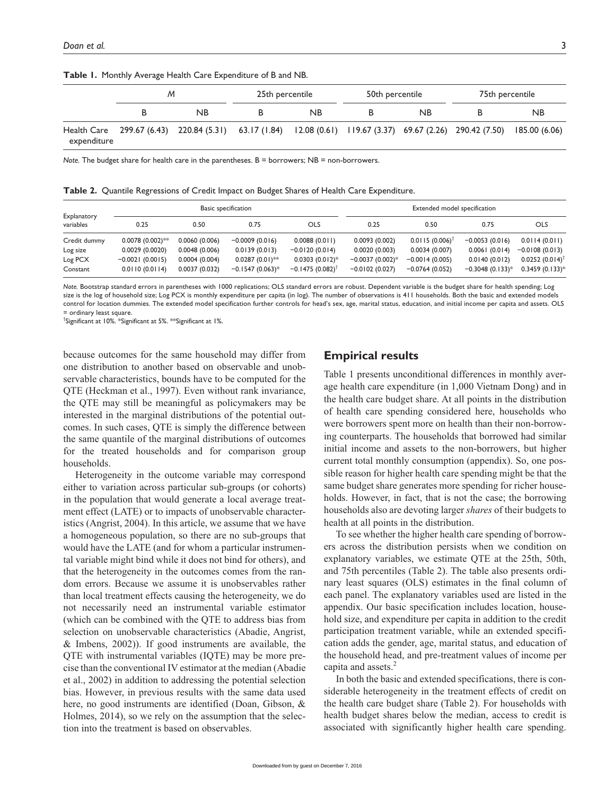|             | м |                                                                                                                          | 25th percentile |           | 50th percentile |           | 75th percentile |           |
|-------------|---|--------------------------------------------------------------------------------------------------------------------------|-----------------|-----------|-----------------|-----------|-----------------|-----------|
|             |   | <b>NB</b>                                                                                                                |                 | <b>NB</b> |                 | <b>NB</b> |                 | <b>NB</b> |
| expenditure |   | Health Care 299.67 (6.43) 220.84 (5.31) 63.17 (1.84) 12.08 (0.61) 119.67 (3.37) 69.67 (2.26) 290.42 (7.50) 185.00 (6.06) |                 |           |                 |           |                 |           |

**Table 1.** Monthly Average Health Care Expenditure of B and NB.

*Note.* The budget share for health care in the parentheses. B = borrowers; NB = non-borrowers.

**Table 2.** Quantile Regressions of Credit Impact on Budget Shares of Health Care Expenditure.

| Explanatory<br>variables | Basic specification |               |                   |                            | Extended model specification |                              |                   |                   |
|--------------------------|---------------------|---------------|-------------------|----------------------------|------------------------------|------------------------------|-------------------|-------------------|
|                          | 0.25                | 0.50          | 0.75              | OLS                        | 0.25                         | 0.50                         | 0.75              | <b>OLS</b>        |
| Credit dummy             | $0.0078(0.002)$ **  | 0.0060(0.006) | $-0.0009(0.016)$  | 0.0088(0.011)              | 0.0093(0.002)                | $0.0115(0.006)$ <sup>1</sup> | $-0.0053(0.016)$  | 0.0114(0.011)     |
| Log size                 | 0.0029(0.0020)      | 0.0048(0.006) | 0.0139(0.013)     | $-0.0120(0.014)$           | 0.0020(0.003)                | 0.0034(0.007)                | 0.0061(0.014)     | $-0.0108(0.013)$  |
| Log PCX                  | $-0.0021(0.0015)$   | 0.0004(0.004) | $0.0287(0.01)$ ** | $0.0303(0.012)$ *          | $-0.0037(0.002)*$            | $-0.0014(0.005)$             | 0.0140(0.012)     | $0.0252(0.014)^T$ |
| Constant                 | 0.0110(0.0114)      | 0.0037(0.032) | $-0.1547(0.063)*$ | $-0.1475(0.082)^{\dagger}$ | $-0.0102(0.027)$             | $-0.0764(0.052)$             | $-0.3048(0.133)*$ | $0.3459(0.133)*$  |

*Note.* Bootstrap standard errors in parentheses with 1000 replications; OLS standard errors are robust. Dependent variable is the budget share for health spending; Log size is the log of household size; Log PCX is monthly expenditure per capita (in log). The number of observations is 411 households. Both the basic and extended models control for location dummies. The extended model specification further controls for head's sex, age, marital status, education, and initial income per capita and assets. OLS ordinary least square

† Significant at 10%. \*Significant at 5%. \*\*Significant at 1%.

because outcomes for the same household may differ from one distribution to another based on observable and unobservable characteristics, bounds have to be computed for the QTE (Heckman et al., 1997). Even without rank invariance, the QTE may still be meaningful as policymakers may be interested in the marginal distributions of the potential outcomes. In such cases, QTE is simply the difference between the same quantile of the marginal distributions of outcomes for the treated households and for comparison group households.

Heterogeneity in the outcome variable may correspond either to variation across particular sub-groups (or cohorts) in the population that would generate a local average treatment effect (LATE) or to impacts of unobservable characteristics (Angrist, 2004). In this article, we assume that we have a homogeneous population, so there are no sub-groups that would have the LATE (and for whom a particular instrumental variable might bind while it does not bind for others), and that the heterogeneity in the outcomes comes from the random errors. Because we assume it is unobservables rather than local treatment effects causing the heterogeneity, we do not necessarily need an instrumental variable estimator (which can be combined with the QTE to address bias from selection on unobservable characteristics (Abadie, Angrist, & Imbens, 2002)). If good instruments are available, the QTE with instrumental variables (IQTE) may be more precise than the conventional IV estimator at the median (Abadie et al., 2002) in addition to addressing the potential selection bias. However, in previous results with the same data used here, no good instruments are identified (Doan, Gibson, & Holmes, 2014), so we rely on the assumption that the selection into the treatment is based on observables.

## **Empirical results**

Table 1 presents unconditional differences in monthly average health care expenditure (in 1,000 Vietnam Dong) and in the health care budget share. At all points in the distribution of health care spending considered here, households who were borrowers spent more on health than their non-borrowing counterparts. The households that borrowed had similar initial income and assets to the non-borrowers, but higher current total monthly consumption (appendix). So, one possible reason for higher health care spending might be that the same budget share generates more spending for richer households. However, in fact, that is not the case; the borrowing households also are devoting larger *shares* of their budgets to health at all points in the distribution.

To see whether the higher health care spending of borrowers across the distribution persists when we condition on explanatory variables, we estimate QTE at the 25th, 50th, and 75th percentiles (Table 2). The table also presents ordinary least squares (OLS) estimates in the final column of each panel. The explanatory variables used are listed in the appendix. Our basic specification includes location, household size, and expenditure per capita in addition to the credit participation treatment variable, while an extended specification adds the gender, age, marital status, and education of the household head, and pre-treatment values of income per capita and assets. $<sup>2</sup>$ </sup>

In both the basic and extended specifications, there is considerable heterogeneity in the treatment effects of credit on the health care budget share (Table 2). For households with health budget shares below the median, access to credit is associated with significantly higher health care spending.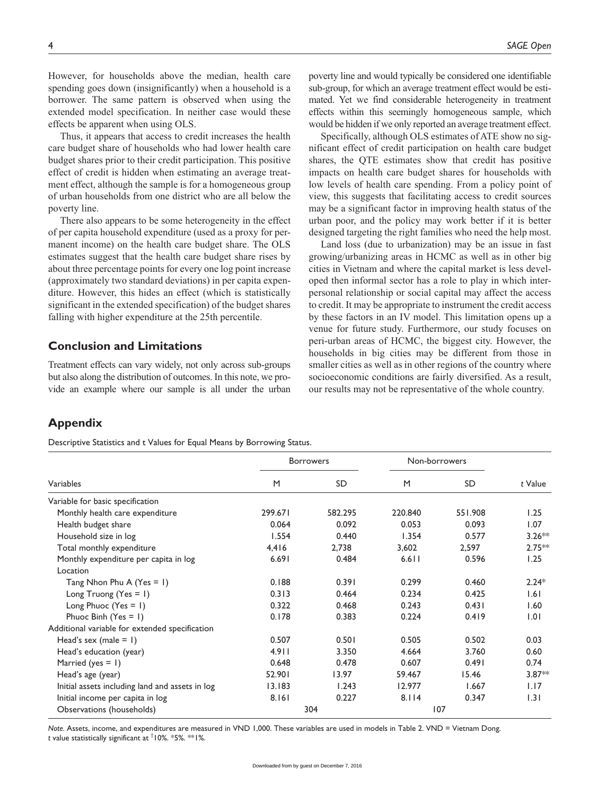However, for households above the median, health care spending goes down (insignificantly) when a household is a borrower. The same pattern is observed when using the extended model specification. In neither case would these effects be apparent when using OLS.

Thus, it appears that access to credit increases the health care budget share of households who had lower health care budget shares prior to their credit participation. This positive effect of credit is hidden when estimating an average treatment effect, although the sample is for a homogeneous group of urban households from one district who are all below the poverty line.

There also appears to be some heterogeneity in the effect of per capita household expenditure (used as a proxy for permanent income) on the health care budget share. The OLS estimates suggest that the health care budget share rises by about three percentage points for every one log point increase (approximately two standard deviations) in per capita expenditure. However, this hides an effect (which is statistically significant in the extended specification) of the budget shares falling with higher expenditure at the 25th percentile.

## **Conclusion and Limitations**

Treatment effects can vary widely, not only across sub-groups but also along the distribution of outcomes. In this note, we provide an example where our sample is all under the urban poverty line and would typically be considered one identifiable sub-group, for which an average treatment effect would be estimated. Yet we find considerable heterogeneity in treatment effects within this seemingly homogeneous sample, which would be hidden if we only reported an average treatment effect.

Specifically, although OLS estimates of ATE show no significant effect of credit participation on health care budget shares, the QTE estimates show that credit has positive impacts on health care budget shares for households with low levels of health care spending. From a policy point of view, this suggests that facilitating access to credit sources may be a significant factor in improving health status of the urban poor, and the policy may work better if it is better designed targeting the right families who need the help most.

Land loss (due to urbanization) may be an issue in fast growing/urbanizing areas in HCMC as well as in other big cities in Vietnam and where the capital market is less developed then informal sector has a role to play in which interpersonal relationship or social capital may affect the access to credit. It may be appropriate to instrument the credit access by these factors in an IV model. This limitation opens up a venue for future study. Furthermore, our study focuses on peri-urban areas of HCMC, the biggest city. However, the households in big cities may be different from those in smaller cities as well as in other regions of the country where socioeconomic conditions are fairly diversified. As a result, our results may not be representative of the whole country.

## **Appendix**

Descriptive Statistics and t Values for Equal Means by Borrowing Status.

|                                                 | <b>Borrowers</b> |           | Non-borrowers |         |          |
|-------------------------------------------------|------------------|-----------|---------------|---------|----------|
| Variables                                       | M                | <b>SD</b> | M             | SD      | t Value  |
| Variable for basic specification                |                  |           |               |         |          |
| Monthly health care expenditure                 | 299.671          | 582.295   | 220.840       | 551.908 | 1.25     |
| Health budget share                             | 0.064            | 0.092     | 0.053         | 0.093   | 1.07     |
| Household size in log                           | 1.554            | 0.440     | 1.354         | 0.577   | $3.26**$ |
| Total monthly expenditure                       | 4,416            | 2,738     | 3,602         | 2,597   | $2.75**$ |
| Monthly expenditure per capita in log           | 6.691            | 0.484     | $6.6$         | 0.596   | 1.25     |
| Location                                        |                  |           |               |         |          |
| Tang Nhon Phu A (Yes $= 1$ )                    | 0.188            | 0.391     | 0.299         | 0.460   | $2.24*$  |
| Long Truong (Yes = $\vert$ )                    | 0.313            | 0.464     | 0.234         | 0.425   | 1.61     |
| Long Phuoc (Yes = $\vert$ )                     | 0.322            | 0.468     | 0.243         | 0.431   | 1.60     |
| Phuoc Binh (Yes = $\vert$ )                     | 0.178            | 0.383     | 0.224         | 0.419   | 1.01     |
| Additional variable for extended specification  |                  |           |               |         |          |
| Head's sex (male $= 1$ )                        | 0.507            | 0.501     | 0.505         | 0.502   | 0.03     |
| Head's education (year)                         | 4.911            | 3.350     | 4.664         | 3.760   | 0.60     |
| Married (yes $= 1$ )                            | 0.648            | 0.478     | 0.607         | 0.491   | 0.74     |
| Head's age (year)                               | 52.901           | 13.97     | 59.467        | 15.46   | $3.87**$ |
| Initial assets including land and assets in log | 13.183           | 1.243     | 12.977        | 1.667   | 1.17     |
| Initial income per capita in log                | 8.161            | 0.227     | 8.114         | 0.347   | 1.31     |
| Observations (households)                       |                  | 304       |               | 107     |          |

*Note.* Assets, income, and expenditures are measured in VND 1,000. These variables are used in models in Table 2. VND = Vietnam Dong. *t* value statistically significant at † 10%. \*5%. \*\*1%.